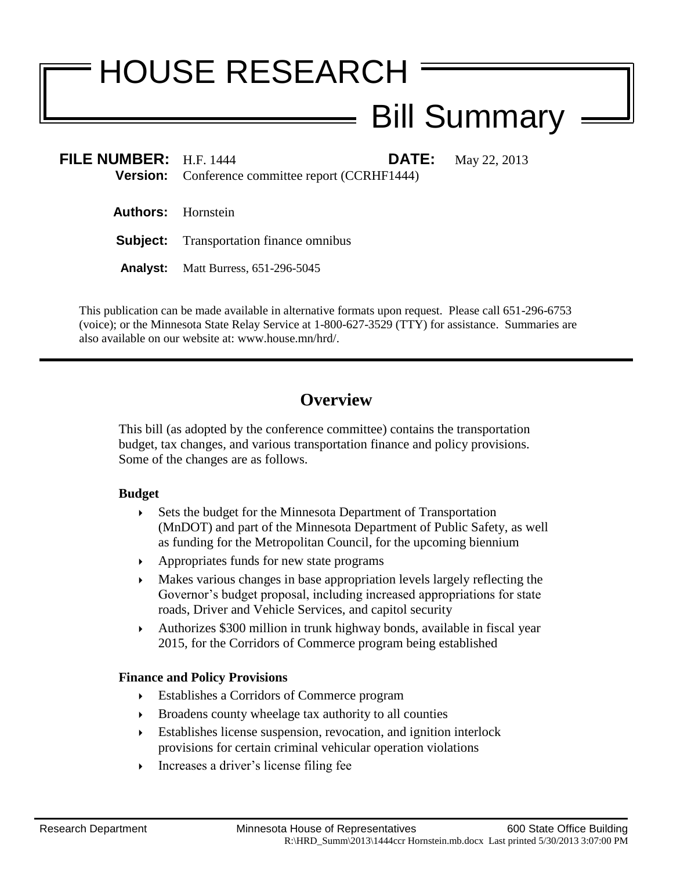# HOUSE RESEARCH

# Bill Summary

| FILE NUMBER: $H.F. 1444$  | <b>DATE:</b><br><b>Version:</b> Conference committee report (CCRHF1444) | May 22, 2013 |
|---------------------------|-------------------------------------------------------------------------|--------------|
| <b>Authors:</b> Hornstein |                                                                         |              |
|                           | <b>Subject:</b> Transportation finance omnibus                          |              |
| Analyst:                  | Matt Burress, 651-296-5045                                              |              |

This publication can be made available in alternative formats upon request. Please call 651-296-6753 (voice); or the Minnesota State Relay Service at 1-800-627-3529 (TTY) for assistance. Summaries are also available on our website at: www.house.mn/hrd/.

# **Overview**

This bill (as adopted by the conference committee) contains the transportation budget, tax changes, and various transportation finance and policy provisions. Some of the changes are as follows.

#### **Budget**

- Sets the budget for the Minnesota Department of Transportation (MnDOT) and part of the Minnesota Department of Public Safety, as well as funding for the Metropolitan Council, for the upcoming biennium
- Appropriates funds for new state programs
- Makes various changes in base appropriation levels largely reflecting the Governor's budget proposal, including increased appropriations for state roads, Driver and Vehicle Services, and capitol security
- Authorizes \$300 million in trunk highway bonds, available in fiscal year 2015, for the Corridors of Commerce program being established

# **Finance and Policy Provisions**

- Establishes a Corridors of Commerce program
- Broadens county wheelage tax authority to all counties
- Establishes license suspension, revocation, and ignition interlock provisions for certain criminal vehicular operation violations
- Increases a driver's license filing fee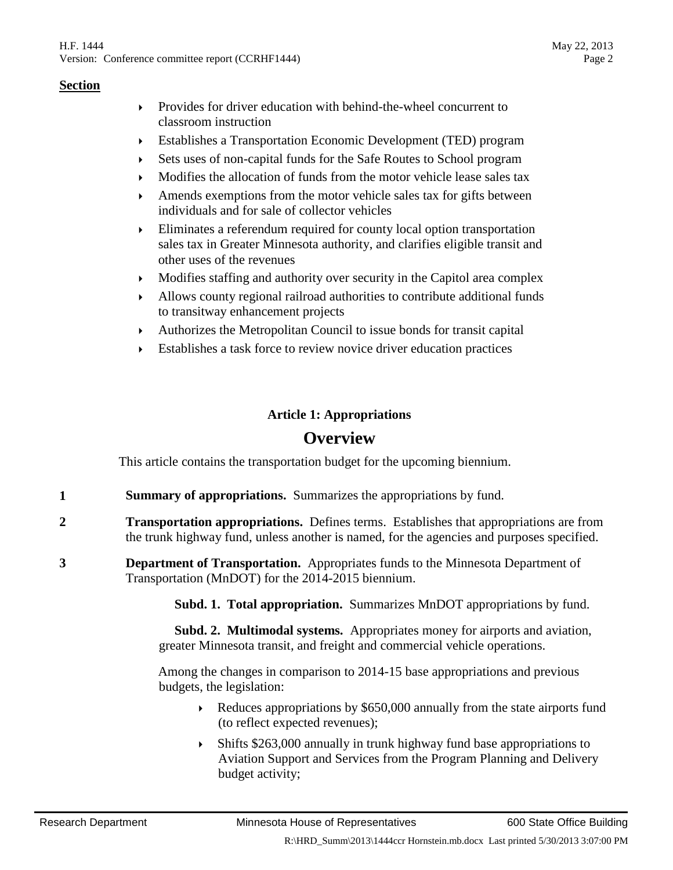- Provides for driver education with behind-the-wheel concurrent to classroom instruction
- Establishes a Transportation Economic Development (TED) program
- Sets uses of non-capital funds for the Safe Routes to School program
- Modifies the allocation of funds from the motor vehicle lease sales tax
- Amends exemptions from the motor vehicle sales tax for gifts between individuals and for sale of collector vehicles
- Eliminates a referendum required for county local option transportation sales tax in Greater Minnesota authority, and clarifies eligible transit and other uses of the revenues
- $\blacktriangleright$  Modifies staffing and authority over security in the Capitol area complex
- Allows county regional railroad authorities to contribute additional funds to transitway enhancement projects
- Authorizes the Metropolitan Council to issue bonds for transit capital
- Establishes a task force to review novice driver education practices

# **Article 1: Appropriations**

# **Overview**

This article contains the transportation budget for the upcoming biennium.

- **1 Summary of appropriations.** Summarizes the appropriations by fund.
- **2 Transportation appropriations.** Defines terms. Establishes that appropriations are from the trunk highway fund, unless another is named, for the agencies and purposes specified.
- **3 Department of Transportation.** Appropriates funds to the Minnesota Department of Transportation (MnDOT) for the 2014-2015 biennium.

**Subd. 1. Total appropriation.** Summarizes MnDOT appropriations by fund.

 **Subd. 2. Multimodal systems.** Appropriates money for airports and aviation, greater Minnesota transit, and freight and commercial vehicle operations.

Among the changes in comparison to 2014-15 base appropriations and previous budgets, the legislation:

- Exercise Appropriations by \$650,000 annually from the state airports fund (to reflect expected revenues);
- Shifts \$263,000 annually in trunk highway fund base appropriations to Aviation Support and Services from the Program Planning and Delivery budget activity;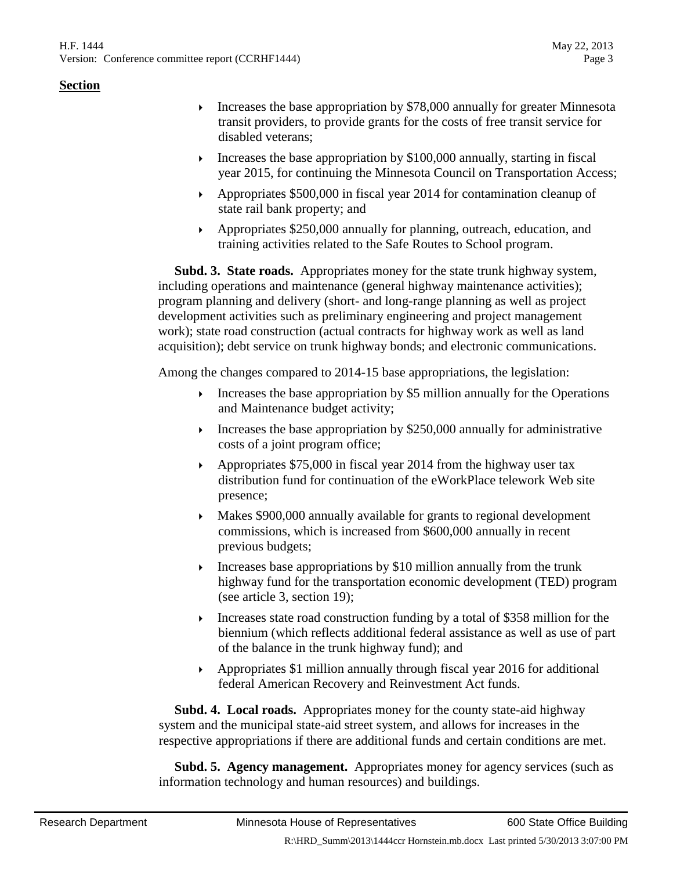- Increases the base appropriation by  $$78,000$  annually for greater Minnesota transit providers, to provide grants for the costs of free transit service for disabled veterans;
- Increases the base appropriation by  $$100,000$  annually, starting in fiscal year 2015, for continuing the Minnesota Council on Transportation Access;
- Appropriates \$500,000 in fiscal year 2014 for contamination cleanup of state rail bank property; and
- Appropriates \$250,000 annually for planning, outreach, education, and training activities related to the Safe Routes to School program.

 **Subd. 3. State roads.** Appropriates money for the state trunk highway system, including operations and maintenance (general highway maintenance activities); program planning and delivery (short- and long-range planning as well as project development activities such as preliminary engineering and project management work); state road construction (actual contracts for highway work as well as land acquisition); debt service on trunk highway bonds; and electronic communications.

Among the changes compared to 2014-15 base appropriations, the legislation:

- Increases the base appropriation by  $$5$  million annually for the Operations and Maintenance budget activity;
- Increases the base appropriation by  $$250,000$  annually for administrative costs of a joint program office;
- Appropriates \$75,000 in fiscal year 2014 from the highway user tax distribution fund for continuation of the eWorkPlace telework Web site presence;
- Makes \$900,000 annually available for grants to regional development commissions, which is increased from \$600,000 annually in recent previous budgets;
- $\triangleright$  Increases base appropriations by \$10 million annually from the trunk highway fund for the transportation economic development (TED) program (see article 3, section 19);
- Increases state road construction funding by a total of \$358 million for the biennium (which reflects additional federal assistance as well as use of part of the balance in the trunk highway fund); and
- Appropriates \$1 million annually through fiscal year 2016 for additional federal American Recovery and Reinvestment Act funds.

 **Subd. 4. Local roads.** Appropriates money for the county state-aid highway system and the municipal state-aid street system, and allows for increases in the respective appropriations if there are additional funds and certain conditions are met.

 **Subd. 5. Agency management.** Appropriates money for agency services (such as information technology and human resources) and buildings.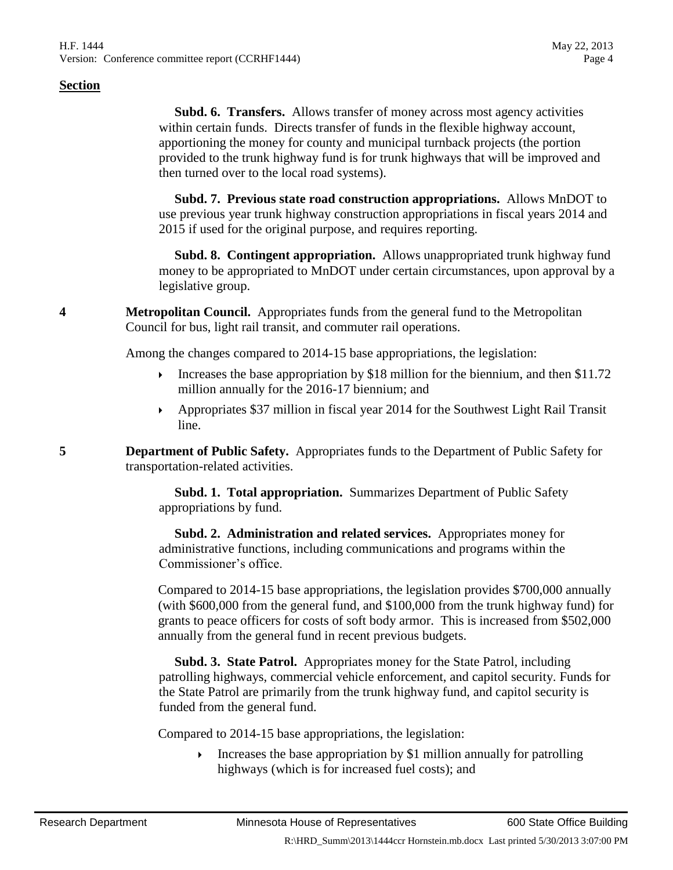**Subd. 6. Transfers.** Allows transfer of money across most agency activities within certain funds. Directs transfer of funds in the flexible highway account, apportioning the money for county and municipal turnback projects (the portion provided to the trunk highway fund is for trunk highways that will be improved and then turned over to the local road systems).

 **Subd. 7. Previous state road construction appropriations.** Allows MnDOT to use previous year trunk highway construction appropriations in fiscal years 2014 and 2015 if used for the original purpose, and requires reporting.

 **Subd. 8. Contingent appropriation.** Allows unappropriated trunk highway fund money to be appropriated to MnDOT under certain circumstances, upon approval by a legislative group.

**4 Metropolitan Council.** Appropriates funds from the general fund to the Metropolitan Council for bus, light rail transit, and commuter rail operations.

Among the changes compared to 2014-15 base appropriations, the legislation:

- Increases the base appropriation by \$18 million for the biennium, and then \$11.72 million annually for the 2016-17 biennium; and
- Appropriates \$37 million in fiscal year 2014 for the Southwest Light Rail Transit line.

**5 Department of Public Safety.** Appropriates funds to the Department of Public Safety for transportation-related activities.

> **Subd. 1. Total appropriation.** Summarizes Department of Public Safety appropriations by fund.

> **Subd. 2. Administration and related services.** Appropriates money for administrative functions, including communications and programs within the Commissioner's office.

Compared to 2014-15 base appropriations, the legislation provides \$700,000 annually (with \$600,000 from the general fund, and \$100,000 from the trunk highway fund) for grants to peace officers for costs of soft body armor. This is increased from \$502,000 annually from the general fund in recent previous budgets.

 **Subd. 3. State Patrol.** Appropriates money for the State Patrol, including patrolling highways, commercial vehicle enforcement, and capitol security. Funds for the State Patrol are primarily from the trunk highway fund, and capitol security is funded from the general fund.

Compared to 2014-15 base appropriations, the legislation:

Increases the base appropriation by \$1 million annually for patrolling highways (which is for increased fuel costs); and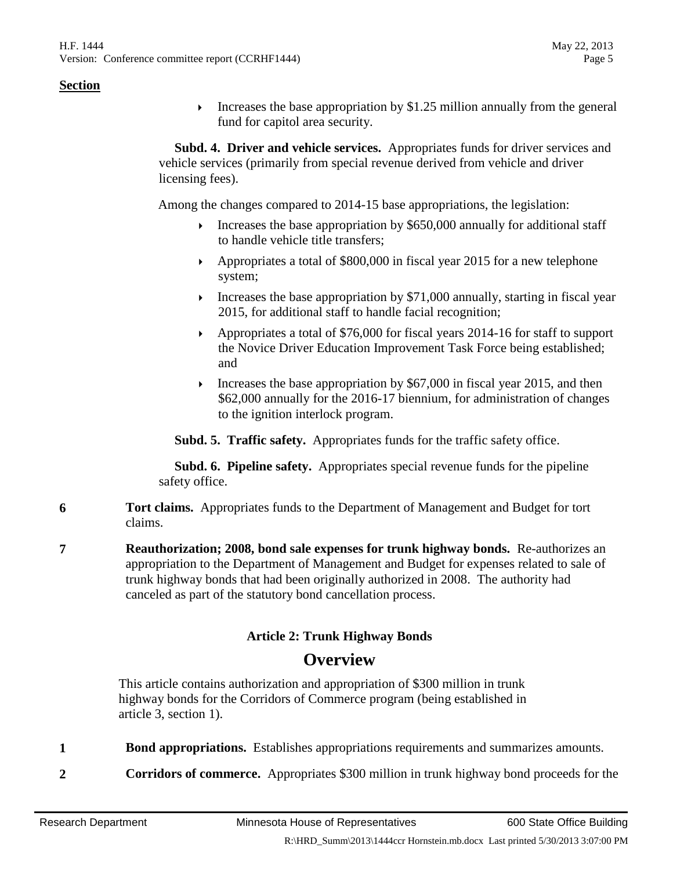Increases the base appropriation by  $$1.25$  million annually from the general fund for capitol area security.

 **Subd. 4. Driver and vehicle services.** Appropriates funds for driver services and vehicle services (primarily from special revenue derived from vehicle and driver licensing fees).

Among the changes compared to 2014-15 base appropriations, the legislation:

- Increases the base appropriation by  $$650,000$  annually for additional staff to handle vehicle title transfers;
- Appropriates a total of \$800,000 in fiscal year 2015 for a new telephone system;
- Increases the base appropriation by  $$71,000$  annually, starting in fiscal year 2015, for additional staff to handle facial recognition;
- Appropriates a total of \$76,000 for fiscal years 2014-16 for staff to support the Novice Driver Education Improvement Task Force being established; and
- Increases the base appropriation by  $$67,000$  in fiscal year 2015, and then \$62,000 annually for the 2016-17 biennium, for administration of changes to the ignition interlock program.

**Subd. 5. Traffic safety.** Appropriates funds for the traffic safety office.

 **Subd. 6. Pipeline safety.** Appropriates special revenue funds for the pipeline safety office.

- **6 Tort claims.** Appropriates funds to the Department of Management and Budget for tort claims.
- **7 Reauthorization; 2008, bond sale expenses for trunk highway bonds.** Re-authorizes an appropriation to the Department of Management and Budget for expenses related to sale of trunk highway bonds that had been originally authorized in 2008. The authority had canceled as part of the statutory bond cancellation process.

# **Article 2: Trunk Highway Bonds Overview**

This article contains authorization and appropriation of \$300 million in trunk highway bonds for the Corridors of Commerce program (being established in article 3, section 1).

- **1 Bond appropriations.** Establishes appropriations requirements and summarizes amounts.
- **2 Corridors of commerce.** Appropriates \$300 million in trunk highway bond proceeds for the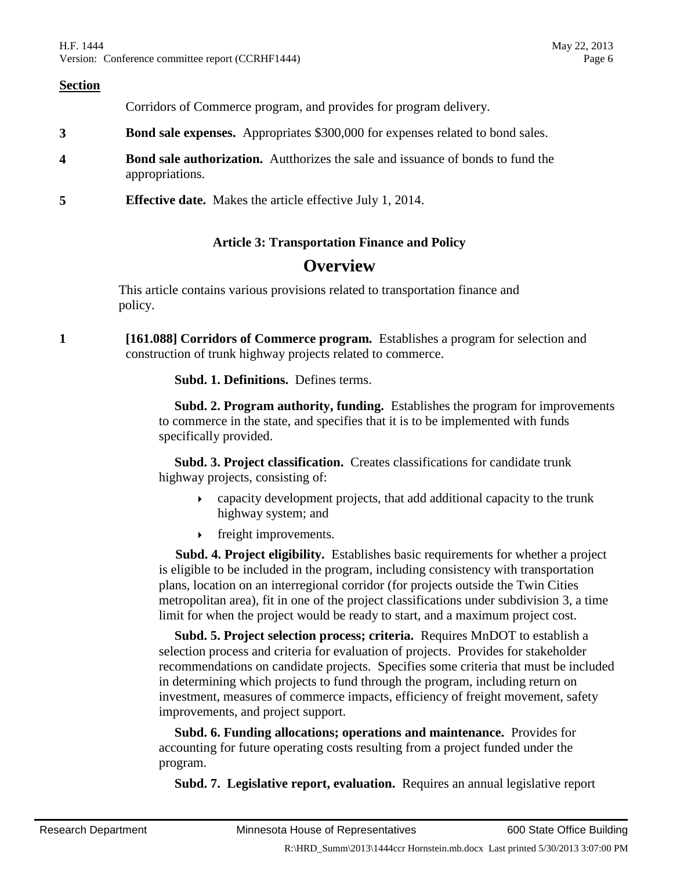Corridors of Commerce program, and provides for program delivery.

- **3 Bond sale expenses.** Appropriates \$300,000 for expenses related to bond sales.
- **4 Bond sale authorization.** Autthorizes the sale and issuance of bonds to fund the appropriations.
- **5 Effective date.** Makes the article effective July 1, 2014.

#### **Article 3: Transportation Finance and Policy**

# **Overview**

This article contains various provisions related to transportation finance and policy.

**1 [161.088] Corridors of Commerce program.** Establishes a program for selection and construction of trunk highway projects related to commerce.

**Subd. 1. Definitions.** Defines terms.

 **Subd. 2. Program authority, funding.** Establishes the program for improvements to commerce in the state, and specifies that it is to be implemented with funds specifically provided.

 **Subd. 3. Project classification.** Creates classifications for candidate trunk highway projects, consisting of:

- capacity development projects, that add additional capacity to the trunk highway system; and
- **Fixture** freight improvements.

 **Subd. 4. Project eligibility.** Establishes basic requirements for whether a project is eligible to be included in the program, including consistency with transportation plans, location on an interregional corridor (for projects outside the Twin Cities metropolitan area), fit in one of the project classifications under subdivision 3, a time limit for when the project would be ready to start, and a maximum project cost.

 **Subd. 5. Project selection process; criteria.** Requires MnDOT to establish a selection process and criteria for evaluation of projects. Provides for stakeholder recommendations on candidate projects. Specifies some criteria that must be included in determining which projects to fund through the program, including return on investment, measures of commerce impacts, efficiency of freight movement, safety improvements, and project support.

 **Subd. 6. Funding allocations; operations and maintenance.** Provides for accounting for future operating costs resulting from a project funded under the program.

**Subd. 7. Legislative report, evaluation.** Requires an annual legislative report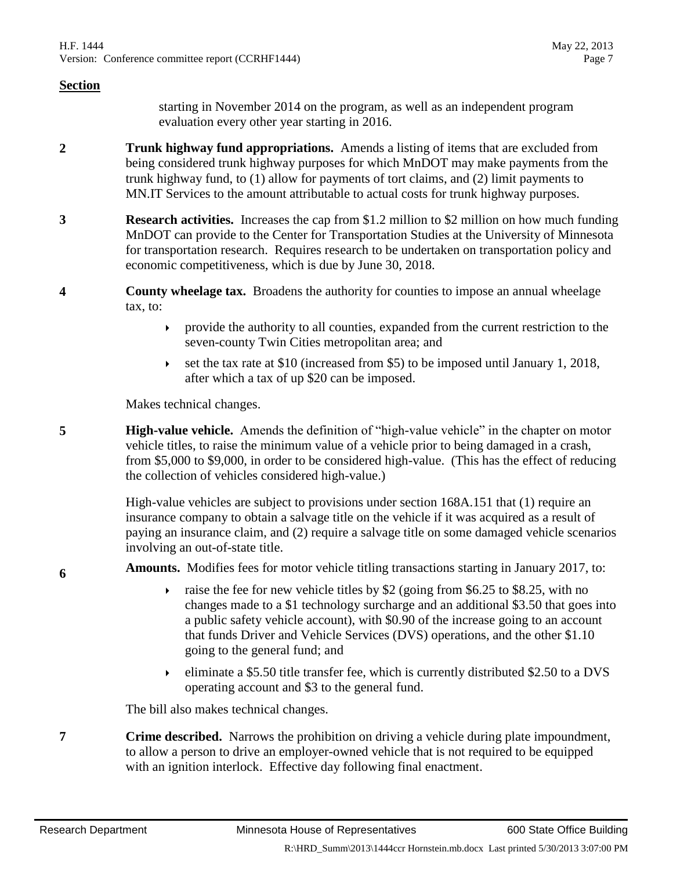starting in November 2014 on the program, as well as an independent program evaluation every other year starting in 2016.

- **2 Trunk highway fund appropriations.** Amends a listing of items that are excluded from being considered trunk highway purposes for which MnDOT may make payments from the trunk highway fund, to (1) allow for payments of tort claims, and (2) limit payments to MN.IT Services to the amount attributable to actual costs for trunk highway purposes.
- **3 Research activities.** Increases the cap from \$1.2 million to \$2 million on how much funding MnDOT can provide to the Center for Transportation Studies at the University of Minnesota for transportation research. Requires research to be undertaken on transportation policy and economic competitiveness, which is due by June 30, 2018.
- **4 County wheelage tax.** Broadens the authority for counties to impose an annual wheelage tax, to:
	- $\rightarrow$  provide the authority to all counties, expanded from the current restriction to the seven-county Twin Cities metropolitan area; and
	- $\blacktriangleright$  set the tax rate at \$10 (increased from \$5) to be imposed until January 1, 2018, after which a tax of up \$20 can be imposed.

Makes technical changes.

**5 High-value vehicle.** Amends the definition of "high-value vehicle" in the chapter on motor vehicle titles, to raise the minimum value of a vehicle prior to being damaged in a crash, from \$5,000 to \$9,000, in order to be considered high-value. (This has the effect of reducing the collection of vehicles considered high-value.)

> High-value vehicles are subject to provisions under section 168A.151 that (1) require an insurance company to obtain a salvage title on the vehicle if it was acquired as a result of paying an insurance claim, and (2) require a salvage title on some damaged vehicle scenarios involving an out-of-state title.

**6 Amounts.** Modifies fees for motor vehicle titling transactions starting in January 2017, to:

- raise the fee for new vehicle titles by \$2 (going from \$6.25 to \$8.25, with no changes made to a \$1 technology surcharge and an additional \$3.50 that goes into a public safety vehicle account), with \$0.90 of the increase going to an account that funds Driver and Vehicle Services (DVS) operations, and the other \$1.10 going to the general fund; and
- eliminate a \$5.50 title transfer fee, which is currently distributed \$2.50 to a DVS operating account and \$3 to the general fund.

The bill also makes technical changes.

**7 Crime described.** Narrows the prohibition on driving a vehicle during plate impoundment, to allow a person to drive an employer-owned vehicle that is not required to be equipped with an ignition interlock. Effective day following final enactment.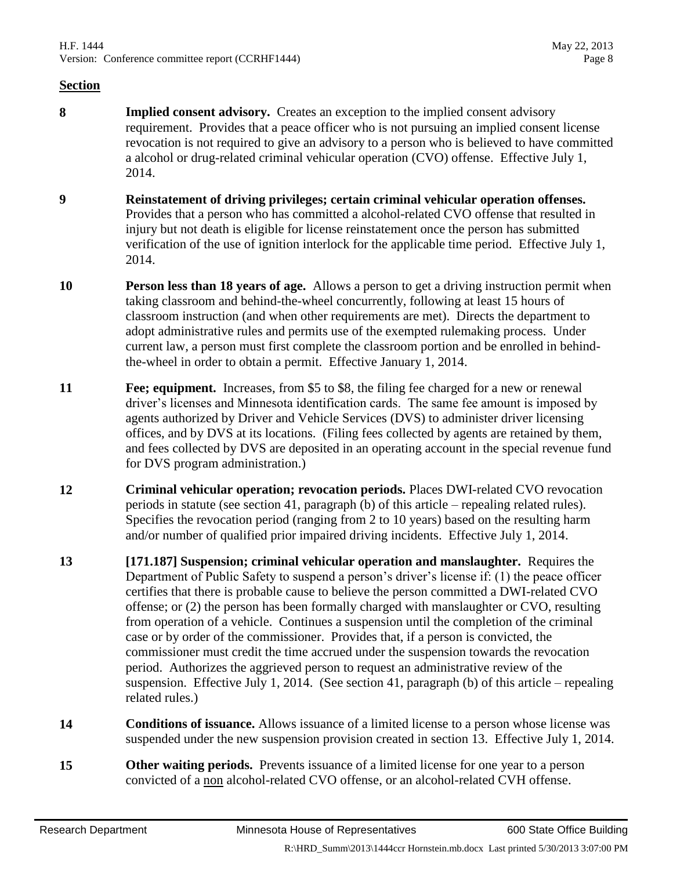- **8 Implied consent advisory.** Creates an exception to the implied consent advisory requirement. Provides that a peace officer who is not pursuing an implied consent license revocation is not required to give an advisory to a person who is believed to have committed a alcohol or drug-related criminal vehicular operation (CVO) offense. Effective July 1, 2014.
- **9 Reinstatement of driving privileges; certain criminal vehicular operation offenses.** Provides that a person who has committed a alcohol-related CVO offense that resulted in injury but not death is eligible for license reinstatement once the person has submitted verification of the use of ignition interlock for the applicable time period. Effective July 1, 2014.
- **10 Person less than 18 years of age.** Allows a person to get a driving instruction permit when taking classroom and behind-the-wheel concurrently, following at least 15 hours of classroom instruction (and when other requirements are met). Directs the department to adopt administrative rules and permits use of the exempted rulemaking process. Under current law, a person must first complete the classroom portion and be enrolled in behindthe-wheel in order to obtain a permit. Effective January 1, 2014.
- **11 Fee: equipment.** Increases, from \$5 to \$8, the filing fee charged for a new or renewal driver's licenses and Minnesota identification cards. The same fee amount is imposed by agents authorized by Driver and Vehicle Services (DVS) to administer driver licensing offices, and by DVS at its locations. (Filing fees collected by agents are retained by them, and fees collected by DVS are deposited in an operating account in the special revenue fund for DVS program administration.)
- **12 Criminal vehicular operation; revocation periods.** Places DWI-related CVO revocation periods in statute (see section 41, paragraph (b) of this article – repealing related rules). Specifies the revocation period (ranging from 2 to 10 years) based on the resulting harm and/or number of qualified prior impaired driving incidents. Effective July 1, 2014.
- **13 [171.187] Suspension; criminal vehicular operation and manslaughter.** Requires the Department of Public Safety to suspend a person's driver's license if: (1) the peace officer certifies that there is probable cause to believe the person committed a DWI-related CVO offense; or (2) the person has been formally charged with manslaughter or CVO, resulting from operation of a vehicle. Continues a suspension until the completion of the criminal case or by order of the commissioner. Provides that, if a person is convicted, the commissioner must credit the time accrued under the suspension towards the revocation period. Authorizes the aggrieved person to request an administrative review of the suspension. Effective July 1, 2014. (See section 41, paragraph (b) of this article – repealing related rules.)
- **14 Conditions of issuance.** Allows issuance of a limited license to a person whose license was suspended under the new suspension provision created in section 13. Effective July 1, 2014.
- **15 Other waiting periods.** Prevents issuance of a limited license for one year to a person convicted of a non alcohol-related CVO offense, or an alcohol-related CVH offense.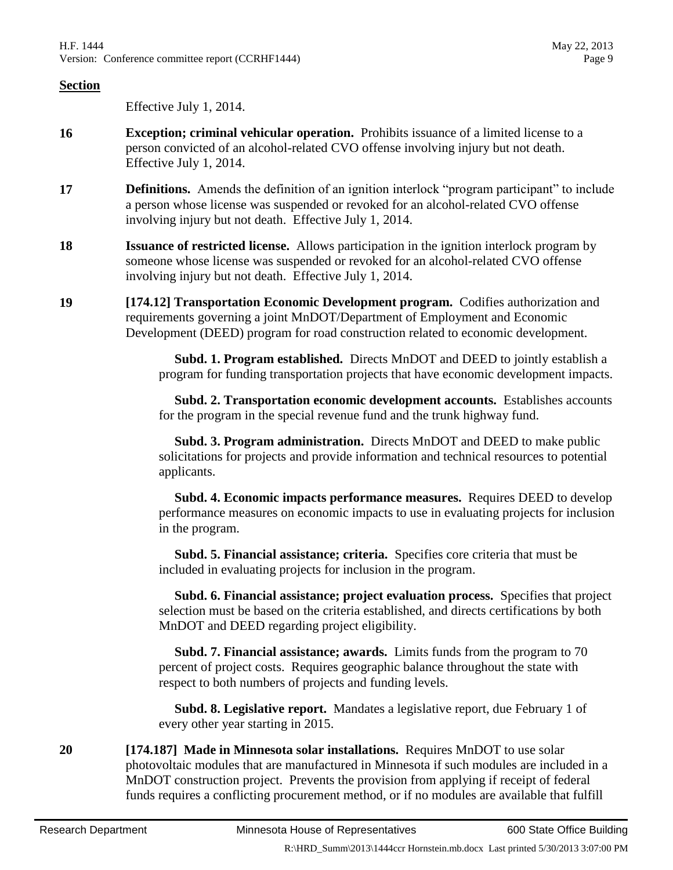Effective July 1, 2014.

- **16 Exception; criminal vehicular operation.** Prohibits issuance of a limited license to a person convicted of an alcohol-related CVO offense involving injury but not death. Effective July 1, 2014.
- **17 Definitions.** Amends the definition of an ignition interlock "program participant" to include a person whose license was suspended or revoked for an alcohol-related CVO offense involving injury but not death. Effective July 1, 2014.
- **18 Issuance of restricted license.** Allows participation in the ignition interlock program by someone whose license was suspended or revoked for an alcohol-related CVO offense involving injury but not death. Effective July 1, 2014.
- **19 [174.12] Transportation Economic Development program.** Codifies authorization and requirements governing a joint MnDOT/Department of Employment and Economic Development (DEED) program for road construction related to economic development.

 **Subd. 1. Program established.** Directs MnDOT and DEED to jointly establish a program for funding transportation projects that have economic development impacts.

 **Subd. 2. Transportation economic development accounts.** Establishes accounts for the program in the special revenue fund and the trunk highway fund.

 **Subd. 3. Program administration.** Directs MnDOT and DEED to make public solicitations for projects and provide information and technical resources to potential applicants.

 **Subd. 4. Economic impacts performance measures.** Requires DEED to develop performance measures on economic impacts to use in evaluating projects for inclusion in the program.

 **Subd. 5. Financial assistance; criteria.** Specifies core criteria that must be included in evaluating projects for inclusion in the program.

 **Subd. 6. Financial assistance; project evaluation process.** Specifies that project selection must be based on the criteria established, and directs certifications by both MnDOT and DEED regarding project eligibility.

 **Subd. 7. Financial assistance; awards.** Limits funds from the program to 70 percent of project costs. Requires geographic balance throughout the state with respect to both numbers of projects and funding levels.

 **Subd. 8. Legislative report.** Mandates a legislative report, due February 1 of every other year starting in 2015.

**20 [174.187] Made in Minnesota solar installations.** Requires MnDOT to use solar photovoltaic modules that are manufactured in Minnesota if such modules are included in a MnDOT construction project. Prevents the provision from applying if receipt of federal funds requires a conflicting procurement method, or if no modules are available that fulfill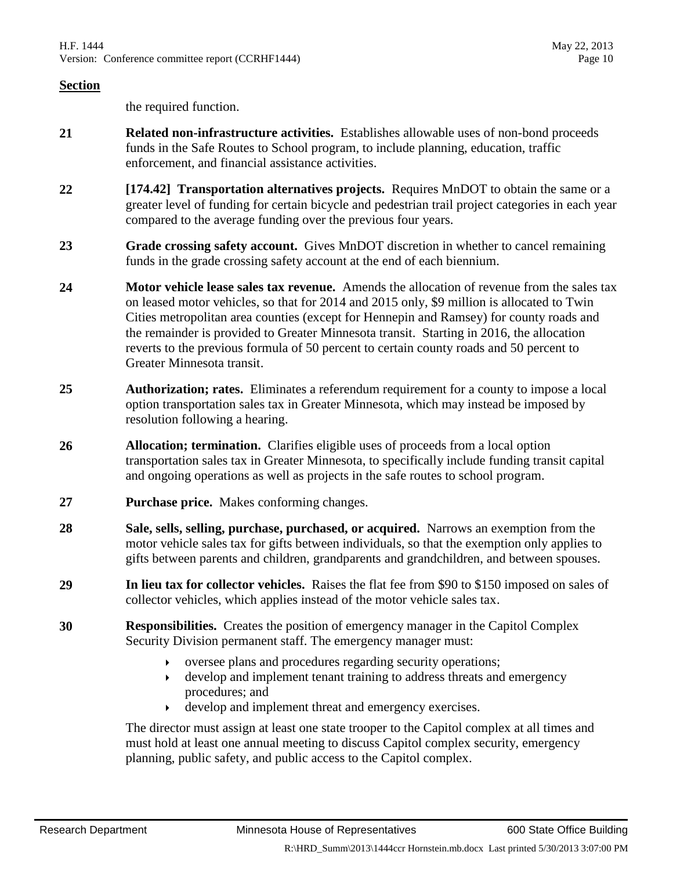the required function.

- **21 Related non-infrastructure activities.** Establishes allowable uses of non-bond proceeds funds in the Safe Routes to School program, to include planning, education, traffic enforcement, and financial assistance activities.
- **22 [174.42] Transportation alternatives projects.** Requires MnDOT to obtain the same or a greater level of funding for certain bicycle and pedestrian trail project categories in each year compared to the average funding over the previous four years.
- **23 Grade crossing safety account.** Gives MnDOT discretion in whether to cancel remaining funds in the grade crossing safety account at the end of each biennium.
- **24 Motor vehicle lease sales tax revenue.** Amends the allocation of revenue from the sales tax on leased motor vehicles, so that for 2014 and 2015 only, \$9 million is allocated to Twin Cities metropolitan area counties (except for Hennepin and Ramsey) for county roads and the remainder is provided to Greater Minnesota transit. Starting in 2016, the allocation reverts to the previous formula of 50 percent to certain county roads and 50 percent to Greater Minnesota transit.
- **25 Authorization; rates.** Eliminates a referendum requirement for a county to impose a local option transportation sales tax in Greater Minnesota, which may instead be imposed by resolution following a hearing.
- **26 Allocation; termination.** Clarifies eligible uses of proceeds from a local option transportation sales tax in Greater Minnesota, to specifically include funding transit capital and ongoing operations as well as projects in the safe routes to school program.
- **27 Purchase price.** Makes conforming changes.
- **28 Sale, sells, selling, purchase, purchased, or acquired.** Narrows an exemption from the motor vehicle sales tax for gifts between individuals, so that the exemption only applies to gifts between parents and children, grandparents and grandchildren, and between spouses.
- **29 In lieu tax for collector vehicles.** Raises the flat fee from \$90 to \$150 imposed on sales of collector vehicles, which applies instead of the motor vehicle sales tax.
- **30 Responsibilities.** Creates the position of emergency manager in the Capitol Complex Security Division permanent staff. The emergency manager must:
	- oversee plans and procedures regarding security operations;
	- develop and implement tenant training to address threats and emergency procedures; and
	- develop and implement threat and emergency exercises.

The director must assign at least one state trooper to the Capitol complex at all times and must hold at least one annual meeting to discuss Capitol complex security, emergency planning, public safety, and public access to the Capitol complex.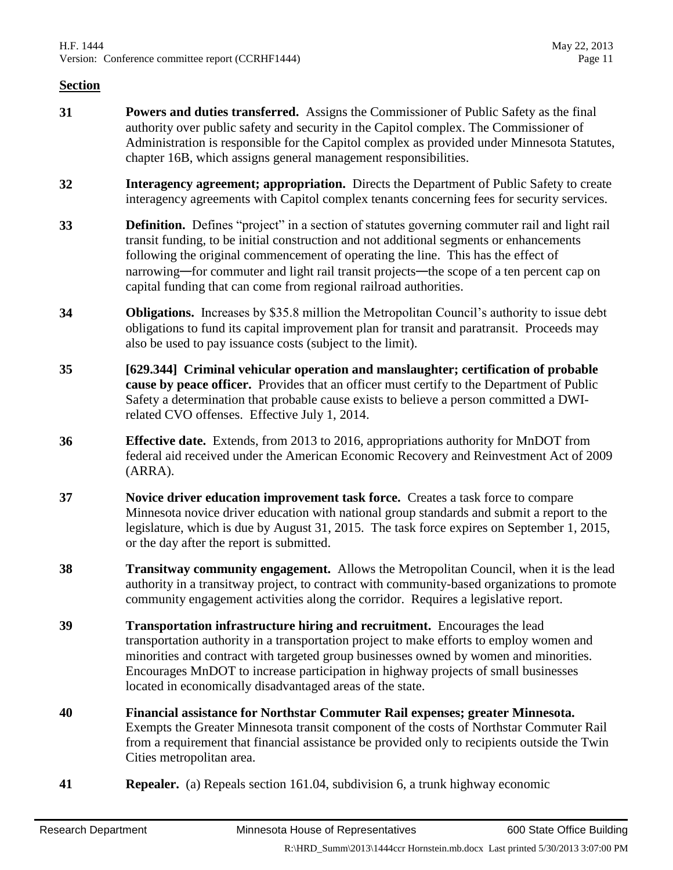- **31 Powers and duties transferred.** Assigns the Commissioner of Public Safety as the final authority over public safety and security in the Capitol complex. The Commissioner of Administration is responsible for the Capitol complex as provided under Minnesota Statutes, chapter 16B, which assigns general management responsibilities.
- **32 Interagency agreement; appropriation.** Directs the Department of Public Safety to create interagency agreements with Capitol complex tenants concerning fees for security services.
- **33 Definition.** Defines "project" in a section of statutes governing commuter rail and light rail transit funding, to be initial construction and not additional segments or enhancements following the original commencement of operating the line. This has the effect of narrowing—for commuter and light rail transit projects—the scope of a ten percent cap on capital funding that can come from regional railroad authorities.
- **34 Obligations.** Increases by \$35.8 million the Metropolitan Council's authority to issue debt obligations to fund its capital improvement plan for transit and paratransit. Proceeds may also be used to pay issuance costs (subject to the limit).
- **35 [629.344] Criminal vehicular operation and manslaughter; certification of probable cause by peace officer.** Provides that an officer must certify to the Department of Public Safety a determination that probable cause exists to believe a person committed a DWIrelated CVO offenses. Effective July 1, 2014.
- **36 Effective date.** Extends, from 2013 to 2016, appropriations authority for MnDOT from federal aid received under the American Economic Recovery and Reinvestment Act of 2009 (ARRA).
- **37 Novice driver education improvement task force.** Creates a task force to compare Minnesota novice driver education with national group standards and submit a report to the legislature, which is due by August 31, 2015. The task force expires on September 1, 2015, or the day after the report is submitted.
- **38 Transitway community engagement.** Allows the Metropolitan Council, when it is the lead authority in a transitway project, to contract with community-based organizations to promote community engagement activities along the corridor. Requires a legislative report.
- **39 Transportation infrastructure hiring and recruitment.** Encourages the lead transportation authority in a transportation project to make efforts to employ women and minorities and contract with targeted group businesses owned by women and minorities. Encourages MnDOT to increase participation in highway projects of small businesses located in economically disadvantaged areas of the state.
- **40 Financial assistance for Northstar Commuter Rail expenses; greater Minnesota.**  Exempts the Greater Minnesota transit component of the costs of Northstar Commuter Rail from a requirement that financial assistance be provided only to recipients outside the Twin Cities metropolitan area.
- **41 Repealer.** (a) Repeals section 161.04, subdivision 6, a trunk highway economic